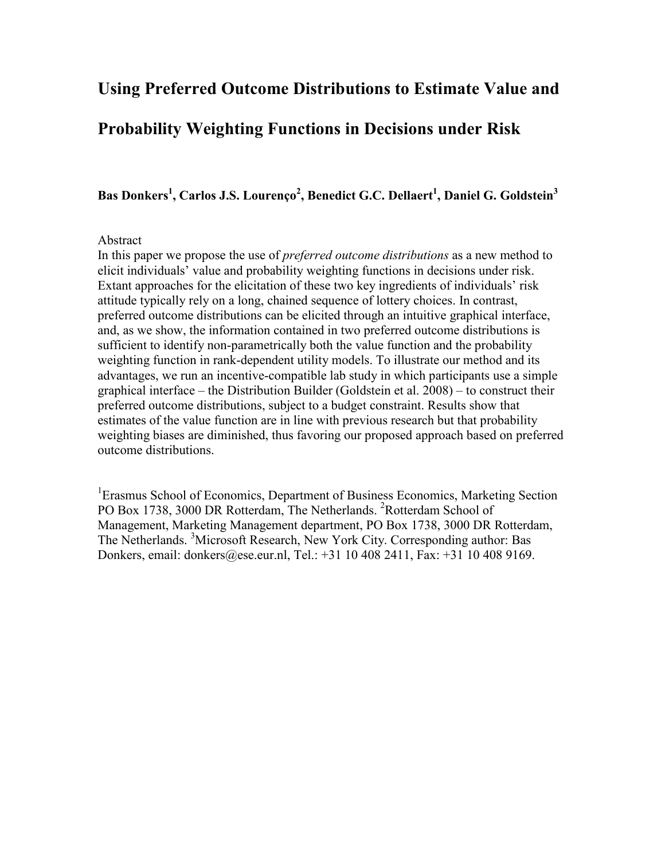# **Using Preferred Outcome Distributions to Estimate Value and**

# **Probability Weighting Functions in Decisions under Risk**

 $\boldsymbol{\mathsf{Bas}}$  Donkers $^1$ , Carlos J.S. Lourenço $^2$ , Benedict G.C. Dellaert $^1$ , Daniel G. Goldstein $^3$ 

# Abstract

In this paper we propose the use of *preferred outcome distributions* as a new method to elicit individuals' value and probability weighting functions in decisions under risk. Extant approaches for the elicitation of these two key ingredients of individuals' risk attitude typically rely on a long, chained sequence of lottery choices. In contrast, preferred outcome distributions can be elicited through an intuitive graphical interface, and, as we show, the information contained in two preferred outcome distributions is sufficient to identify non-parametrically both the value function and the probability weighting function in rank-dependent utility models. To illustrate our method and its advantages, we run an incentive-compatible lab study in which participants use a simple graphical interface – the Distribution Builder (Goldstein et al. 2008) – to construct their preferred outcome distributions, subject to a budget constraint. Results show that estimates of the value function are in line with previous research but that probability weighting biases are diminished, thus favoring our proposed approach based on preferred outcome distributions.

<span id="page-0-0"></span><sup>1</sup> Erasmus School of Economics, Department of Business Economics, Marketing Section PO Box 1738, 3000 DR Rotterdam, The Netherlands. <sup>2</sup>Rotterdam School of Management, Marketing Management department, PO Box 1738, 3000 DR Rotterdam, The Netherlands.<sup>3</sup>Microsoft Research, New York City. Corresponding author: Bas Donkers, email: [donkers@ese.eur.nl,](mailto:donkers@ese.eur.nl) Tel.: +31 10 408 2411, Fax: +31 10 408 9169.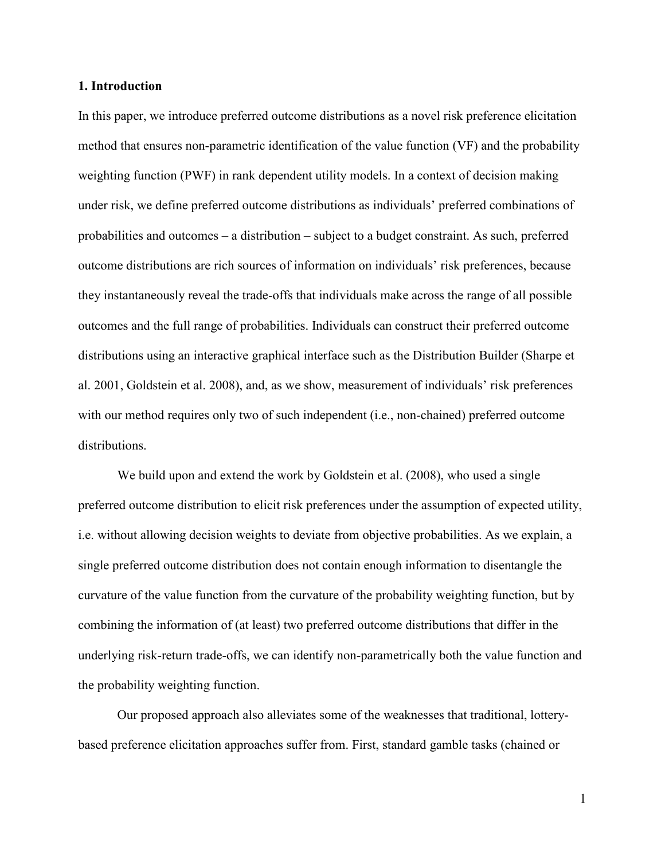#### **1. Introduction**

In this paper, we introduce preferred outcome distributions as a novel risk preference elicitation method that ensures non-parametric identification of the value function (VF) and the probability weighting function (PWF) in rank dependent utility models. In a context of decision making under risk, we define preferred outcome distributions as individuals' preferred combinations of probabilities and outcomes – a distribution – subject to a budget constraint. As such, preferred outcome distributions are rich sources of information on individuals' risk preferences, because they instantaneously reveal the trade-offs that individuals make across the range of all possible outcomes and the full range of probabilities. Individuals can construct their preferred outcome distributions using an interactive graphical interface such as the Distribution Builder (Sharpe et al. 2001, Goldstein et al. 2008), and, as we show, measurement of individuals' risk preferences with our method requires only two of such independent (i.e., non-chained) preferred outcome distributions.

We build upon and extend the work by Goldstein et al. (2008), who used a single preferred outcome distribution to elicit risk preferences under the assumption of expected utility, i.e. without allowing decision weights to deviate from objective probabilities. As we explain, a single preferred outcome distribution does not contain enough information to disentangle the curvature of the value function from the curvature of the probability weighting function, but by combining the information of (at least) two preferred outcome distributions that differ in the underlying risk-return trade-offs, we can identify non-parametrically both the value function and the probability weighting function.

Our proposed approach also alleviates some of the weaknesses that traditional, lotterybased preference elicitation approaches suffer from. First, standard gamble tasks (chained or

1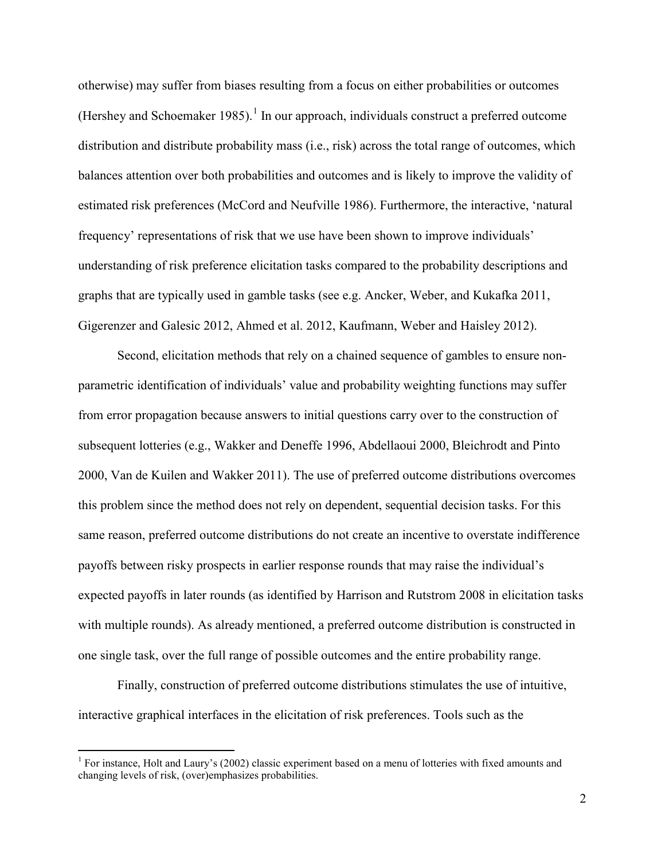otherwise) may suffer from biases resulting from a focus on either probabilities or outcomes (Hershey and Schoemaker 1985). [1](#page-0-0) In our approach, individuals construct a preferred outcome distribution and distribute probability mass (i.e., risk) across the total range of outcomes, which balances attention over both probabilities and outcomes and is likely to improve the validity of estimated risk preferences (McCord and Neufville 1986). Furthermore, the interactive, 'natural frequency' representations of risk that we use have been shown to improve individuals' understanding of risk preference elicitation tasks compared to the probability descriptions and graphs that are typically used in gamble tasks (see e.g. Ancker, Weber, and Kukafka 2011, Gigerenzer and Galesic 2012, Ahmed et al. 2012, Kaufmann, Weber and Haisley 2012).

Second, elicitation methods that rely on a chained sequence of gambles to ensure nonparametric identification of individuals' value and probability weighting functions may suffer from error propagation because answers to initial questions carry over to the construction of subsequent lotteries (e.g., Wakker and Deneffe 1996, Abdellaoui 2000, Bleichrodt and Pinto 2000, Van de Kuilen and Wakker 2011). The use of preferred outcome distributions overcomes this problem since the method does not rely on dependent, sequential decision tasks. For this same reason, preferred outcome distributions do not create an incentive to overstate indifference payoffs between risky prospects in earlier response rounds that may raise the individual's expected payoffs in later rounds (as identified by Harrison and Rutstrom 2008 in elicitation tasks with multiple rounds). As already mentioned, a preferred outcome distribution is constructed in one single task, over the full range of possible outcomes and the entire probability range.

Finally, construction of preferred outcome distributions stimulates the use of intuitive, interactive graphical interfaces in the elicitation of risk preferences. Tools such as the

<span id="page-2-0"></span><sup>&</sup>lt;sup>1</sup> For instance, Holt and Laury's (2002) classic experiment based on a menu of lotteries with fixed amounts and changing levels of risk, (over)emphasizes probabilities.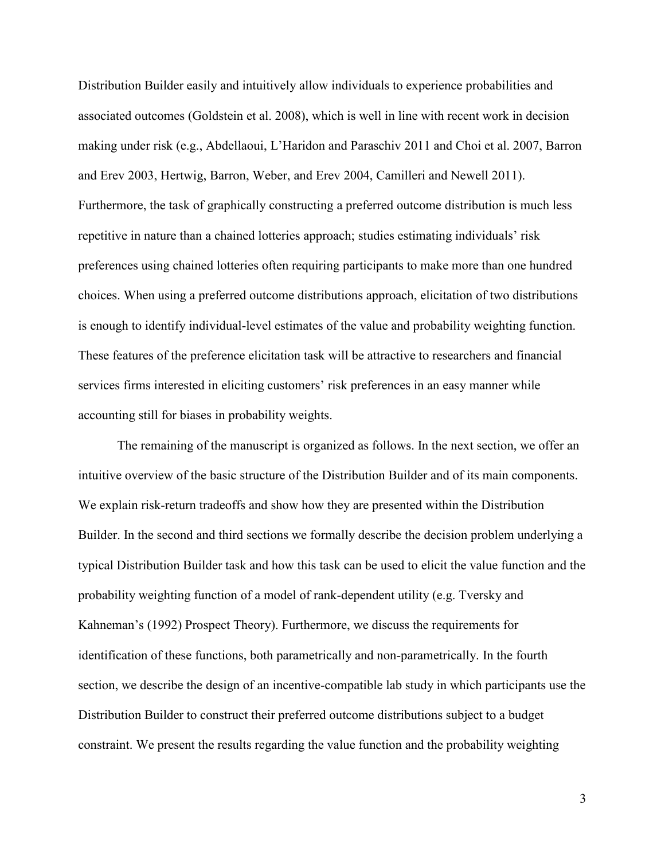Distribution Builder easily and intuitively allow individuals to experience probabilities and associated outcomes (Goldstein et al. 2008), which is well in line with recent work in decision making under risk (e.g., Abdellaoui, L'Haridon and Paraschiv 2011 and Choi et al. 2007, Barron and Erev 2003, Hertwig, Barron, Weber, and Erev 2004, Camilleri and Newell 2011). Furthermore, the task of graphically constructing a preferred outcome distribution is much less repetitive in nature than a chained lotteries approach; studies estimating individuals' risk preferences using chained lotteries often requiring participants to make more than one hundred choices. When using a preferred outcome distributions approach, elicitation of two distributions is enough to identify individual-level estimates of the value and probability weighting function. These features of the preference elicitation task will be attractive to researchers and financial services firms interested in eliciting customers' risk preferences in an easy manner while accounting still for biases in probability weights.

The remaining of the manuscript is organized as follows. In the next section, we offer an intuitive overview of the basic structure of the Distribution Builder and of its main components. We explain risk-return tradeoffs and show how they are presented within the Distribution Builder. In the second and third sections we formally describe the decision problem underlying a typical Distribution Builder task and how this task can be used to elicit the value function and the probability weighting function of a model of rank-dependent utility (e.g. Tversky and Kahneman's (1992) Prospect Theory). Furthermore, we discuss the requirements for identification of these functions, both parametrically and non-parametrically. In the fourth section, we describe the design of an incentive-compatible lab study in which participants use the Distribution Builder to construct their preferred outcome distributions subject to a budget constraint. We present the results regarding the value function and the probability weighting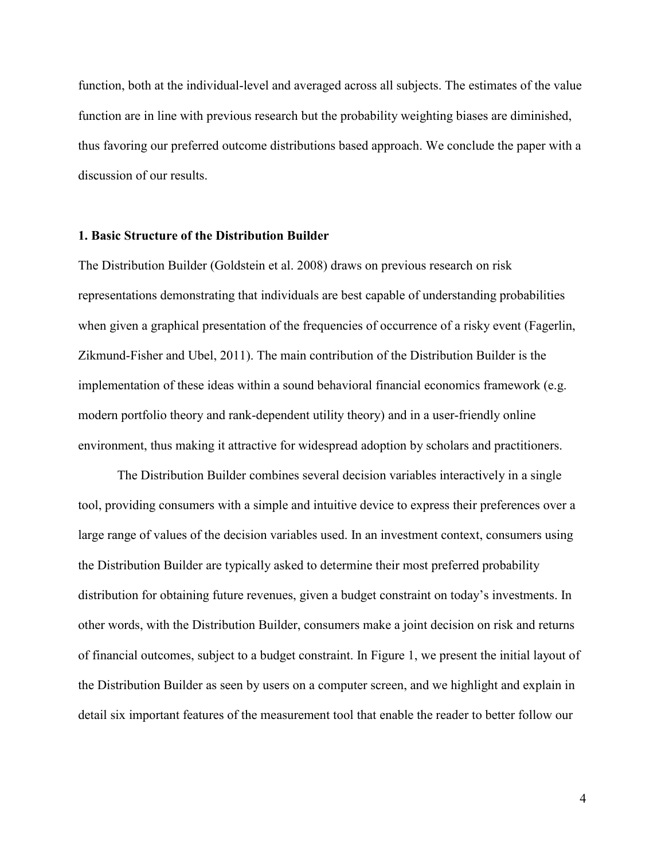function, both at the individual-level and averaged across all subjects. The estimates of the value function are in line with previous research but the probability weighting biases are diminished, thus favoring our preferred outcome distributions based approach. We conclude the paper with a discussion of our results.

## **1. Basic Structure of the Distribution Builder**

The Distribution Builder (Goldstein et al. 2008) draws on previous research on risk representations demonstrating that individuals are best capable of understanding probabilities when given a graphical presentation of the frequencies of occurrence of a risky event (Fagerlin, Zikmund-Fisher and Ubel, 2011). The main contribution of the Distribution Builder is the implementation of these ideas within a sound behavioral financial economics framework (e.g. modern portfolio theory and rank-dependent utility theory) and in a user-friendly online environment, thus making it attractive for widespread adoption by scholars and practitioners.

The Distribution Builder combines several decision variables interactively in a single tool, providing consumers with a simple and intuitive device to express their preferences over a large range of values of the decision variables used. In an investment context, consumers using the Distribution Builder are typically asked to determine their most preferred probability distribution for obtaining future revenues, given a budget constraint on today's investments. In other words, with the Distribution Builder, consumers make a joint decision on risk and returns of financial outcomes, subject to a budget constraint. In Figure 1, we present the initial layout of the Distribution Builder as seen by users on a computer screen, and we highlight and explain in detail six important features of the measurement tool that enable the reader to better follow our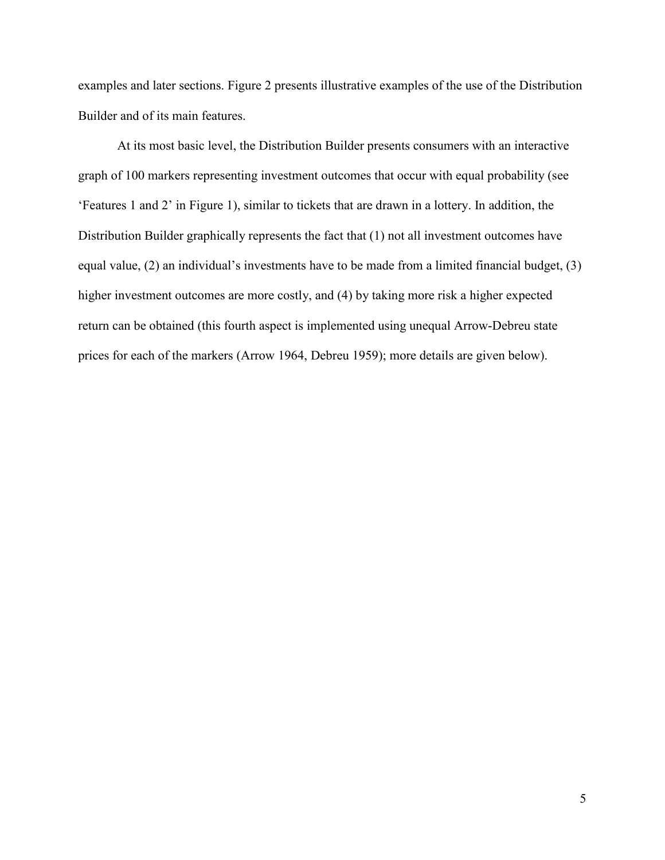examples and later sections. Figure 2 presents illustrative examples of the use of the Distribution Builder and of its main features.

At its most basic level, the Distribution Builder presents consumers with an interactive graph of 100 markers representing investment outcomes that occur with equal probability (see 'Features 1 and 2' in Figure 1), similar to tickets that are drawn in a lottery. In addition, the Distribution Builder graphically represents the fact that (1) not all investment outcomes have equal value, (2) an individual's investments have to be made from a limited financial budget, (3) higher investment outcomes are more costly, and (4) by taking more risk a higher expected return can be obtained (this fourth aspect is implemented using unequal Arrow-Debreu state prices for each of the markers (Arrow 1964, Debreu 1959); more details are given below).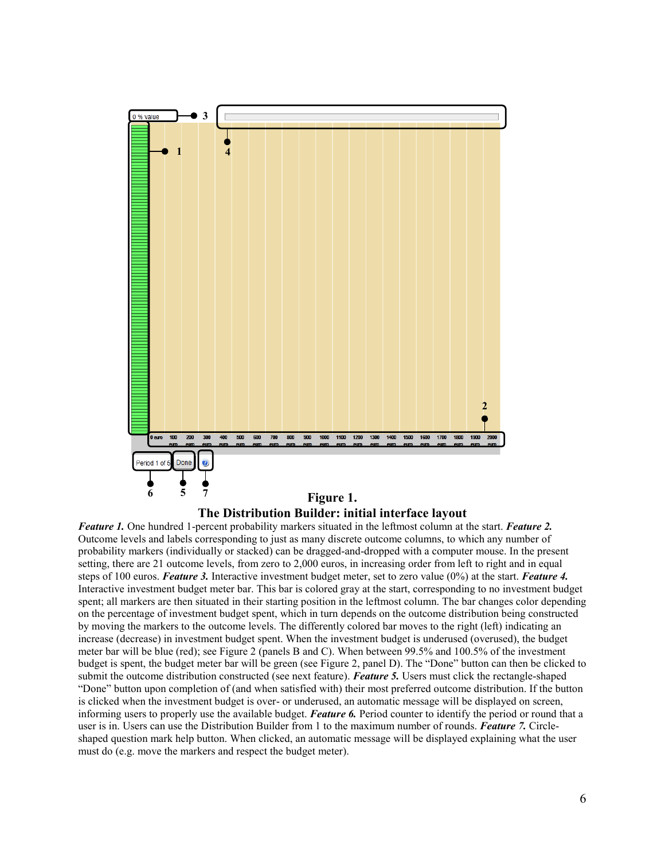

*Feature 1.* One hundred 1-percent probability markers situated in the leftmost column at the start. *Feature 2.* Outcome levels and labels corresponding to just as many discrete outcome columns, to which any number of probability markers (individually or stacked) can be dragged-and-dropped with a computer mouse. In the present setting, there are 21 outcome levels, from zero to 2,000 euros, in increasing order from left to right and in equal steps of 100 euros. *Feature 3.* Interactive investment budget meter, set to zero value (0%) at the start. *Feature 4.* Interactive investment budget meter bar. This bar is colored gray at the start, corresponding to no investment budget spent; all markers are then situated in their starting position in the leftmost column. The bar changes color depending on the percentage of investment budget spent, which in turn depends on the outcome distribution being constructed by moving the markers to the outcome levels. The differently colored bar moves to the right (left) indicating an increase (decrease) in investment budget spent. When the investment budget is underused (overused), the budget meter bar will be blue (red); see Figure 2 (panels B and C). When between 99.5% and 100.5% of the investment budget is spent, the budget meter bar will be green (see Figure 2, panel D). The "Done" button can then be clicked to submit the outcome distribution constructed (see next feature). *Feature 5.* Users must click the rectangle-shaped "Done" button upon completion of (and when satisfied with) their most preferred outcome distribution. If the button is clicked when the investment budget is over- or underused, an automatic message will be displayed on screen, informing users to properly use the available budget. *Feature 6.* Period counter to identify the period or round that a user is in. Users can use the Distribution Builder from 1 to the maximum number of rounds. *Feature 7.* Circleshaped question mark help button. When clicked, an automatic message will be displayed explaining what the user must do (e.g. move the markers and respect the budget meter).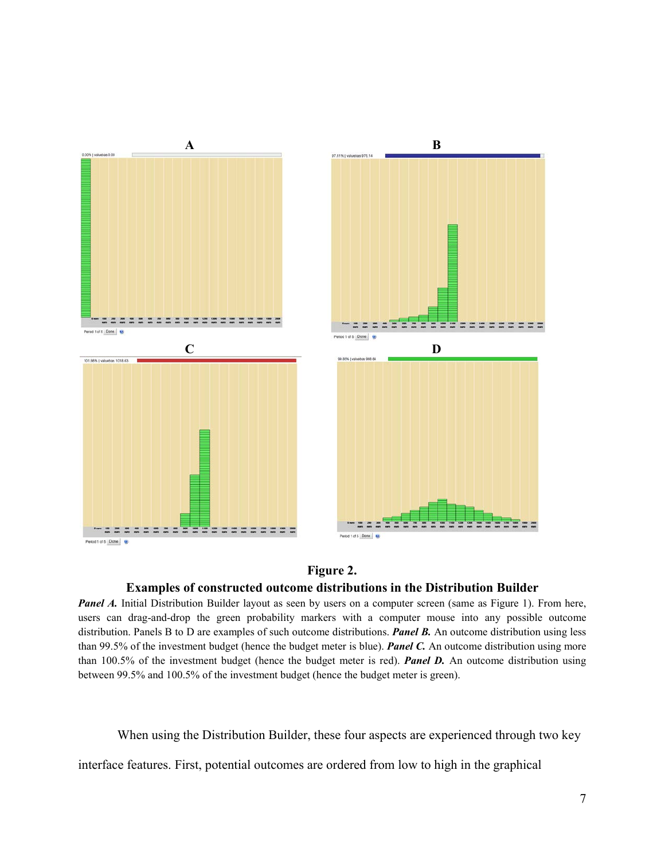

# **Figure 2.**

## **Examples of constructed outcome distributions in the Distribution Builder**

*Panel A.* Initial Distribution Builder layout as seen by users on a computer screen (same as Figure 1). From here, users can drag-and-drop the green probability markers with a computer mouse into any possible outcome distribution. Panels B to D are examples of such outcome distributions. *Panel B.* An outcome distribution using less than 99.5% of the investment budget (hence the budget meter is blue). *Panel C.* An outcome distribution using more than 100.5% of the investment budget (hence the budget meter is red). *Panel D.* An outcome distribution using between 99.5% and 100.5% of the investment budget (hence the budget meter is green).

When using the Distribution Builder, these four aspects are experienced through two key

interface features. First, potential outcomes are ordered from low to high in the graphical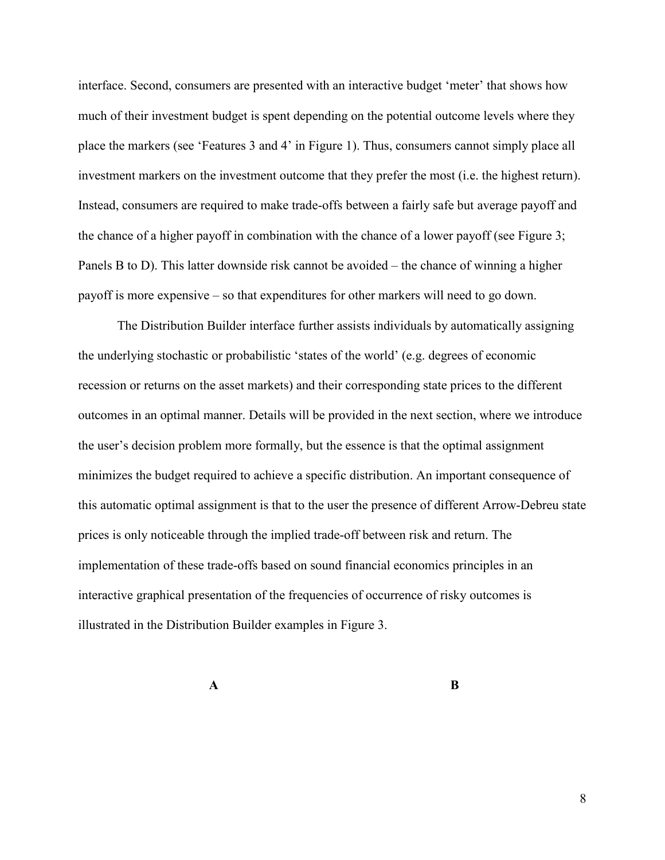interface. Second, consumers are presented with an interactive budget 'meter' that shows how much of their investment budget is spent depending on the potential outcome levels where they place the markers (see 'Features 3 and 4' in Figure 1). Thus, consumers cannot simply place all investment markers on the investment outcome that they prefer the most (i.e. the highest return). Instead, consumers are required to make trade-offs between a fairly safe but average payoff and the chance of a higher payoff in combination with the chance of a lower payoff (see Figure 3; Panels B to D). This latter downside risk cannot be avoided – the chance of winning a higher payoff is more expensive – so that expenditures for other markers will need to go down.

The Distribution Builder interface further assists individuals by automatically assigning the underlying stochastic or probabilistic 'states of the world' (e.g. degrees of economic recession or returns on the asset markets) and their corresponding state prices to the different outcomes in an optimal manner. Details will be provided in the next section, where we introduce the user's decision problem more formally, but the essence is that the optimal assignment minimizes the budget required to achieve a specific distribution. An important consequence of this automatic optimal assignment is that to the user the presence of different Arrow-Debreu state prices is only noticeable through the implied trade-off between risk and return. The implementation of these trade-offs based on sound financial economics principles in an interactive graphical presentation of the frequencies of occurrence of risky outcomes is illustrated in the Distribution Builder examples in Figure 3.

**A B**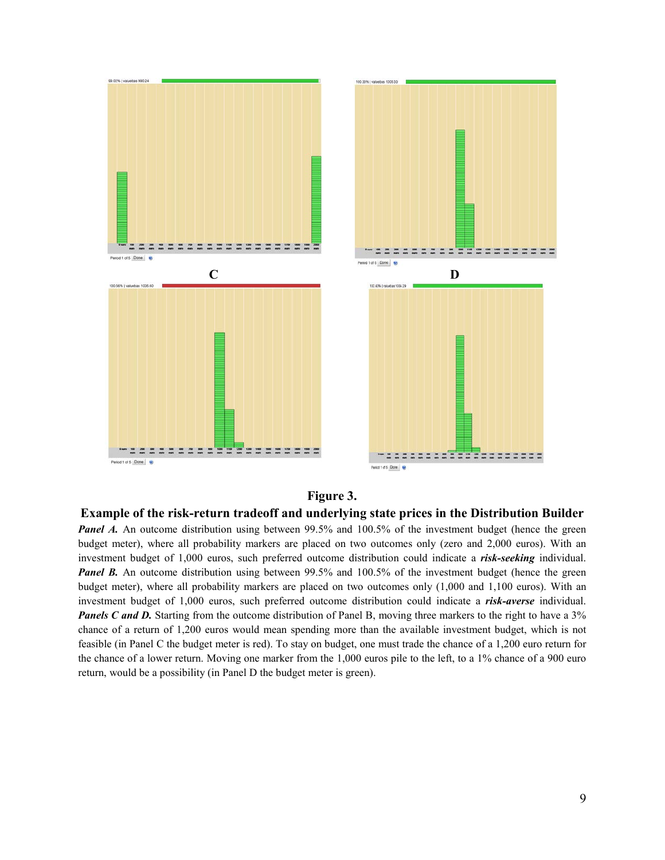

# **Figure 3.**

**Example of the risk-return tradeoff and underlying state prices in the Distribution Builder** *Panel A.* An outcome distribution using between 99.5% and 100.5% of the investment budget (hence the green budget meter), where all probability markers are placed on two outcomes only (zero and 2,000 euros). With an investment budget of 1,000 euros, such preferred outcome distribution could indicate a *risk-seeking* individual. *Panel B.* An outcome distribution using between 99.5% and 100.5% of the investment budget (hence the green budget meter), where all probability markers are placed on two outcomes only (1,000 and 1,100 euros). With an investment budget of 1,000 euros, such preferred outcome distribution could indicate a *risk-averse* individual. **Panels C and D.** Starting from the outcome distribution of Panel B, moving three markers to the right to have a 3% chance of a return of 1,200 euros would mean spending more than the available investment budget, which is not feasible (in Panel C the budget meter is red). To stay on budget, one must trade the chance of a 1,200 euro return for the chance of a lower return. Moving one marker from the 1,000 euros pile to the left, to a 1% chance of a 900 euro return, would be a possibility (in Panel D the budget meter is green).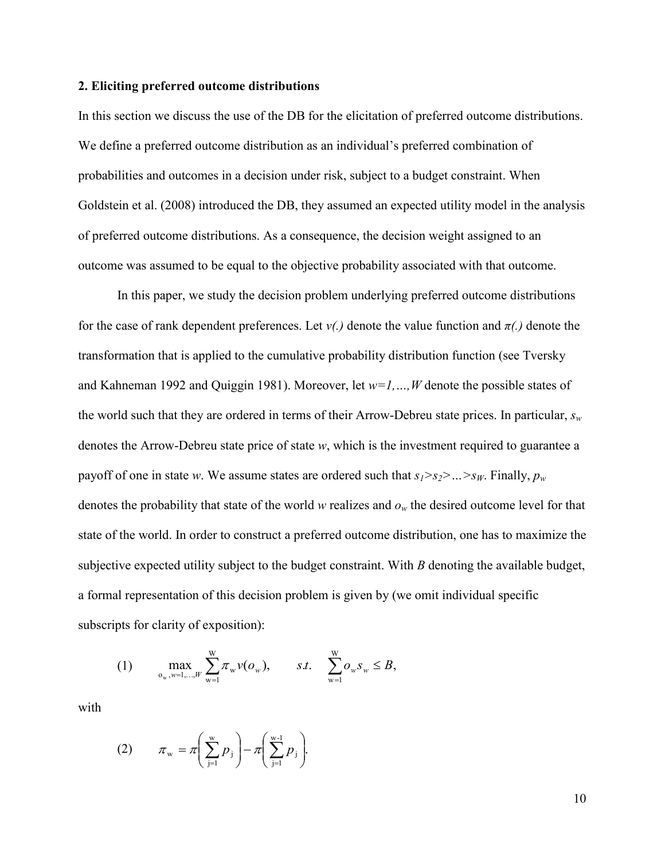## **2. Eliciting preferred outcome distributions**

In this section we discuss the use of the DB for the elicitation of preferred outcome distributions. We define a preferred outcome distribution as an individual's preferred combination of probabilities and outcomes in a decision under risk, subject to a budget constraint. When Goldstein et al. (2008) introduced the DB, they assumed an expected utility model in the analysis of preferred outcome distributions. As a consequence, the decision weight assigned to an outcome was assumed to be equal to the objective probability associated with that outcome.

In this paper, we study the decision problem underlying preferred outcome distributions for the case of rank dependent preferences. Let  $v(t)$  denote the value function and  $\pi(t)$  denote the transformation that is applied to the cumulative probability distribution function (see Tversky and Kahneman 1992 and Quiggin 1981). Moreover, let *w=1,…,W* denote the possible states of the world such that they are ordered in terms of their Arrow-Debreu state prices. In particular,  $s_w$ denotes the Arrow-Debreu state price of state *w*, which is the investment required to guarantee a payoff of one in state *w*. We assume states are ordered such that  $s_1 > s_2 > ... > s_W$ . Finally,  $p_w$ denotes the probability that state of the world *w* realizes and *ow* the desired outcome level for that state of the world. In order to construct a preferred outcome distribution, one has to maximize the subjective expected utility subject to the budget constraint. With *B* denoting the available budget, a formal representation of this decision problem is given by (we omit individual specific subscripts for clarity of exposition):

(1) 
$$
\max_{o_w, w=1,...,W} \sum_{w=1}^{W} \pi_w v(o_w), \quad s.t. \sum_{w=1}^{W} o_w s_w \leq B,
$$

with

$$
(2) \qquad \pi_{\rm w} = \pi \bigg( \sum_{j=1}^{\rm w} p_j \bigg) - \pi \bigg( \sum_{j=1}^{\rm w-1} p_j \bigg).
$$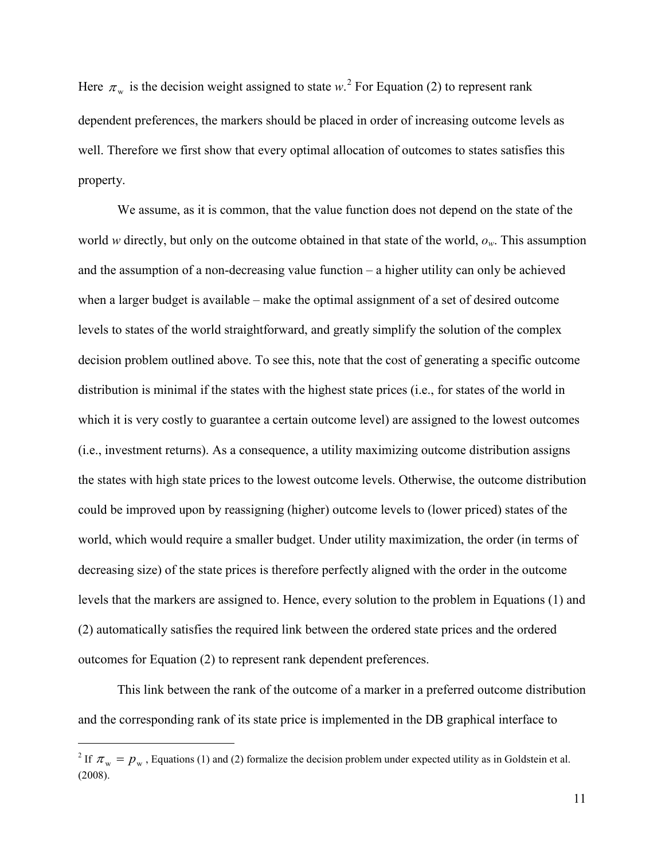Here  $\pi_{w}$  is the decision weight assigned to state  $w^{2}$  $w^{2}$  $w^{2}$  For Equation (2) to represent rank dependent preferences, the markers should be placed in order of increasing outcome levels as well. Therefore we first show that every optimal allocation of outcomes to states satisfies this property.

We assume, as it is common, that the value function does not depend on the state of the world *w* directly, but only on the outcome obtained in that state of the world, *ow*. This assumption and the assumption of a non-decreasing value function – a higher utility can only be achieved when a larger budget is available – make the optimal assignment of a set of desired outcome levels to states of the world straightforward, and greatly simplify the solution of the complex decision problem outlined above. To see this, note that the cost of generating a specific outcome distribution is minimal if the states with the highest state prices (i.e., for states of the world in which it is very costly to guarantee a certain outcome level) are assigned to the lowest outcomes (i.e., investment returns). As a consequence, a utility maximizing outcome distribution assigns the states with high state prices to the lowest outcome levels. Otherwise, the outcome distribution could be improved upon by reassigning (higher) outcome levels to (lower priced) states of the world, which would require a smaller budget. Under utility maximization, the order (in terms of decreasing size) of the state prices is therefore perfectly aligned with the order in the outcome levels that the markers are assigned to. Hence, every solution to the problem in Equations (1) and (2) automatically satisfies the required link between the ordered state prices and the ordered outcomes for Equation (2) to represent rank dependent preferences.

<span id="page-11-0"></span>This link between the rank of the outcome of a marker in a preferred outcome distribution and the corresponding rank of its state price is implemented in the DB graphical interface to

<sup>&</sup>lt;sup>2</sup> If  $\pi_w = p_w$ , Equations (1) and (2) formalize the decision problem under expected utility as in Goldstein et al. (2008).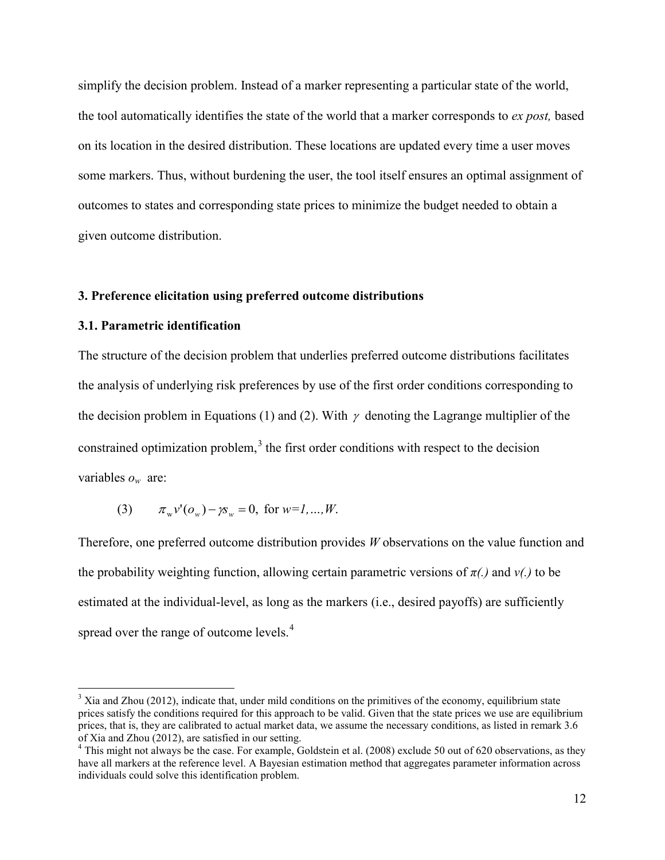simplify the decision problem. Instead of a marker representing a particular state of the world, the tool automatically identifies the state of the world that a marker corresponds to *ex post,* based on its location in the desired distribution. These locations are updated every time a user moves some markers. Thus, without burdening the user, the tool itself ensures an optimal assignment of outcomes to states and corresponding state prices to minimize the budget needed to obtain a given outcome distribution.

### **3. Preference elicitation using preferred outcome distributions**

## **3.1. Parametric identification**

The structure of the decision problem that underlies preferred outcome distributions facilitates the analysis of underlying risk preferences by use of the first order conditions corresponding to the decision problem in Equations (1) and (2). With  $\gamma$  denoting the Lagrange multiplier of the constrained optimization problem, $3$  the first order conditions with respect to the decision variables *ow* are:

(3) 
$$
\pi_w v'(o_w) - \gamma s_w = 0
$$
, for  $w = 1, ..., W$ .

Therefore, one preferred outcome distribution provides *W* observations on the value function and the probability weighting function, allowing certain parametric versions of  $\pi$ .) and *v*(.) to be estimated at the individual-level, as long as the markers (i.e., desired payoffs) are sufficiently spread over the range of outcome levels.<sup>[4](#page-12-0)</sup>

 $3$  Xia and Zhou (2012), indicate that, under mild conditions on the primitives of the economy, equilibrium state prices satisfy the conditions required for this approach to be valid. Given that the state prices we use are equilibrium prices, that is, they are calibrated to actual market data, we assume the necessary conditions, as listed in remark 3.6 of Xia and Zhou (2012), are satisfied in our setting.<br><sup>4</sup> This might not always be the case. For example, Goldstein et al. (2008) exclude 50 out of 620 observations, as they

<span id="page-12-0"></span>have all markers at the reference level. A Bayesian estimation method that aggregates parameter information across individuals could solve this identification problem.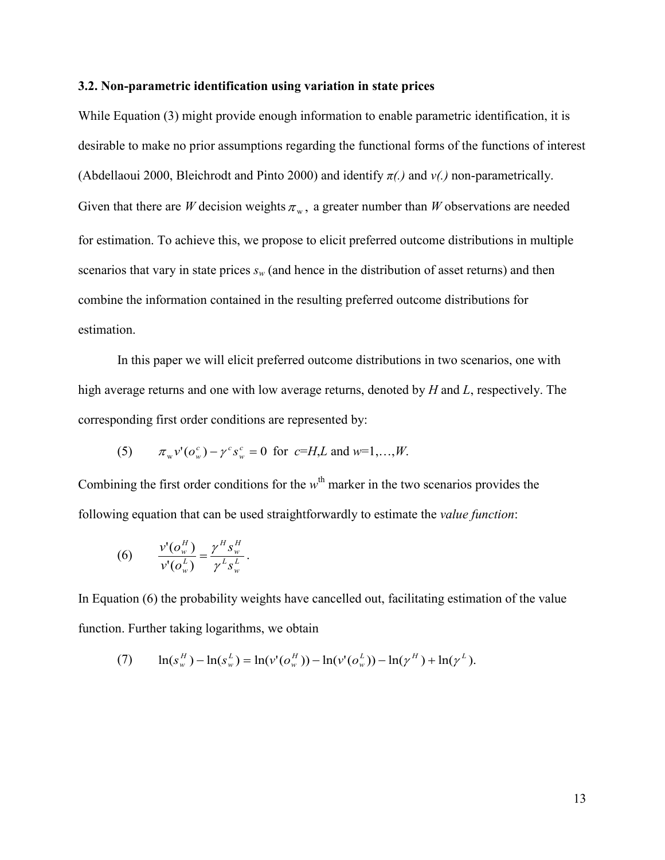# **3.2. Non-parametric identification using variation in state prices**

While Equation (3) might provide enough information to enable parametric identification, it is desirable to make no prior assumptions regarding the functional forms of the functions of interest (Abdellaoui 2000, Bleichrodt and Pinto 2000) and identify  $\pi$ .) and  $v$ .) non-parametrically. Given that there are *W* decision weights  $\pi_w$ , a greater number than *W* observations are needed for estimation. To achieve this, we propose to elicit preferred outcome distributions in multiple scenarios that vary in state prices  $s_w$  (and hence in the distribution of asset returns) and then combine the information contained in the resulting preferred outcome distributions for estimation.

In this paper we will elicit preferred outcome distributions in two scenarios, one with high average returns and one with low average returns, denoted by *H* and *L*, respectively. The corresponding first order conditions are represented by:

(5) 
$$
\pi_w v'(o_w^c) - \gamma^c s_w^c = 0
$$
 for  $c = H, L$  and  $w = 1, ..., W$ .

Combining the first order conditions for the  $w^{\text{th}}$  marker in the two scenarios provides the following equation that can be used straightforwardly to estimate the *value function*:

(6) 
$$
\frac{v'(o_w^H)}{v'(o_w^L)} = \frac{\gamma^H s_w^H}{\gamma^L s_w^L}.
$$

In Equation (6) the probability weights have cancelled out, facilitating estimation of the value function. Further taking logarithms, we obtain

(7) 
$$
\ln(s_w^H) - \ln(s_w^L) = \ln(v^{\prime}(o_w^H)) - \ln(v^{\prime}(o_w^L)) - \ln(\gamma^H) + \ln(\gamma^L).
$$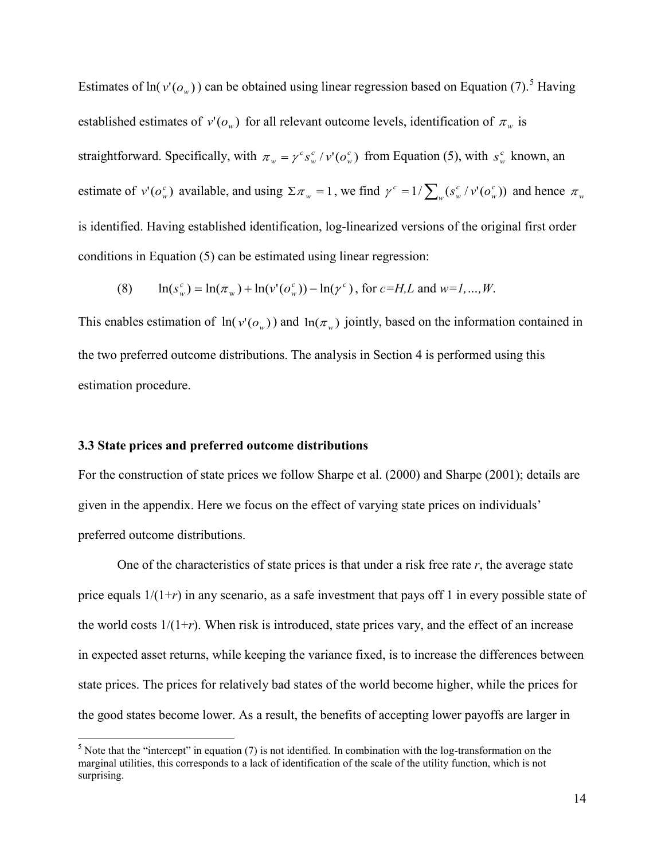Estimates of  $ln(v' (o_w))$  can be obtained using linear regression based on Equation (7).<sup>[5](#page-12-0)</sup> Having established estimates of  $v'(\theta_w)$  for all relevant outcome levels, identification of  $\pi_w$  is straightforward. Specifically, with  $\pi_w = \gamma^c s_w^c / v' (o_w^c)$  from Equation (5), with  $s_w^c$  known, an estimate of  $v'(\sigma_w^c)$  available, and using  $\Sigma \pi_w = 1$ , we find  $\gamma^c = 1/\sum_w (s_w^c/v'(\sigma_w^c))$ *w c*  $\gamma^c = 1/\sum_{w} (s_w^c / v'(o_w^c))$  and hence  $\pi_w$ is identified. Having established identification, log-linearized versions of the original first order conditions in Equation (5) can be estimated using linear regression:

(8) 
$$
\ln(s_w^c) = \ln(\pi_w) + \ln(\nu(\sigma_w^c)) - \ln(\gamma^c), \text{ for } c = H, L \text{ and } w = 1, ..., W.
$$

This enables estimation of  $ln(v' (o_w))$  and  $ln(\pi_w)$  jointly, based on the information contained in the two preferred outcome distributions. The analysis in Section 4 is performed using this estimation procedure.

# **3.3 State prices and preferred outcome distributions**

For the construction of state prices we follow Sharpe et al. (2000) and Sharpe (2001); details are given in the appendix. Here we focus on the effect of varying state prices on individuals' preferred outcome distributions.

One of the characteristics of state prices is that under a risk free rate  $r$ , the average state price equals 1/(1+*r*) in any scenario, as a safe investment that pays off 1 in every possible state of the world costs  $1/(1+r)$ . When risk is introduced, state prices vary, and the effect of an increase in expected asset returns, while keeping the variance fixed, is to increase the differences between state prices. The prices for relatively bad states of the world become higher, while the prices for the good states become lower. As a result, the benefits of accepting lower payoffs are larger in

<span id="page-14-0"></span> $<sup>5</sup>$  Note that the "intercept" in equation (7) is not identified. In combination with the log-transformation on the</sup> marginal utilities, this corresponds to a lack of identification of the scale of the utility function, which is not surprising.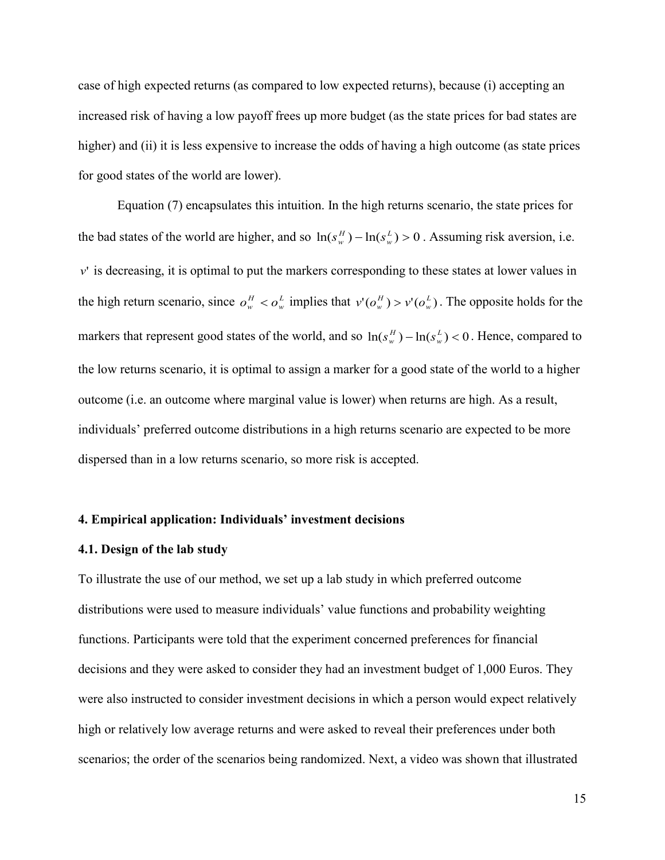case of high expected returns (as compared to low expected returns), because (i) accepting an increased risk of having a low payoff frees up more budget (as the state prices for bad states are higher) and (ii) it is less expensive to increase the odds of having a high outcome (as state prices for good states of the world are lower).

Equation (7) encapsulates this intuition. In the high returns scenario, the state prices for the bad states of the world are higher, and so  $\ln(s_w^H) - \ln(s_w^L) > 0$ . Assuming risk aversion, i.e.  $v'$  is decreasing, it is optimal to put the markers corresponding to these states at lower values in the high return scenario, since  $o_w^H < o_w^L$  implies that  $v^l(o_w^H) > v^l(o_w^L)$ . The opposite holds for the markers that represent good states of the world, and so  $\ln(s_w^H) - \ln(s_w^L) < 0$ . Hence, compared to the low returns scenario, it is optimal to assign a marker for a good state of the world to a higher outcome (i.e. an outcome where marginal value is lower) when returns are high. As a result, individuals' preferred outcome distributions in a high returns scenario are expected to be more dispersed than in a low returns scenario, so more risk is accepted.

# **4. Empirical application: Individuals' investment decisions**

# **4.1. Design of the lab study**

To illustrate the use of our method, we set up a lab study in which preferred outcome distributions were used to measure individuals' value functions and probability weighting functions. Participants were told that the experiment concerned preferences for financial decisions and they were asked to consider they had an investment budget of 1,000 Euros. They were also instructed to consider investment decisions in which a person would expect relatively high or relatively low average returns and were asked to reveal their preferences under both scenarios; the order of the scenarios being randomized. Next, a video was shown that illustrated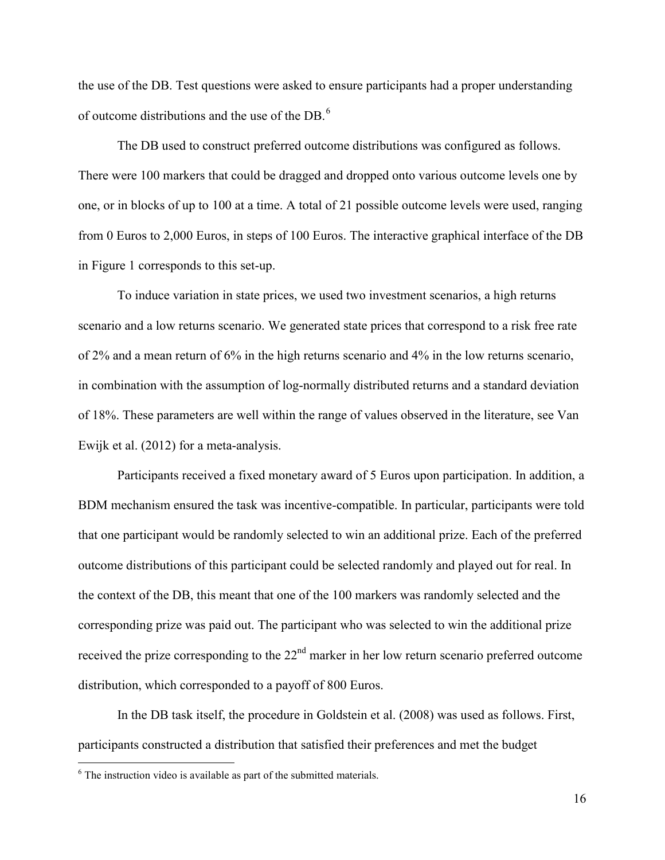the use of the DB. Test questions were asked to ensure participants had a proper understanding of outcome distributions and the use of the DB.[6](#page-14-0)

The DB used to construct preferred outcome distributions was configured as follows. There were 100 markers that could be dragged and dropped onto various outcome levels one by one, or in blocks of up to 100 at a time. A total of 21 possible outcome levels were used, ranging from 0 Euros to 2,000 Euros, in steps of 100 Euros. The interactive graphical interface of the DB in Figure 1 corresponds to this set-up.

To induce variation in state prices, we used two investment scenarios, a high returns scenario and a low returns scenario. We generated state prices that correspond to a risk free rate of 2% and a mean return of 6% in the high returns scenario and 4% in the low returns scenario, in combination with the assumption of log-normally distributed returns and a standard deviation of 18%. These parameters are well within the range of values observed in the literature, see Van Ewijk et al. (2012) for a meta-analysis.

Participants received a fixed monetary award of 5 Euros upon participation. In addition, a BDM mechanism ensured the task was incentive-compatible. In particular, participants were told that one participant would be randomly selected to win an additional prize. Each of the preferred outcome distributions of this participant could be selected randomly and played out for real. In the context of the DB, this meant that one of the 100 markers was randomly selected and the corresponding prize was paid out. The participant who was selected to win the additional prize received the prize corresponding to the 22<sup>nd</sup> marker in her low return scenario preferred outcome distribution, which corresponded to a payoff of 800 Euros.

In the DB task itself, the procedure in Goldstein et al. (2008) was used as follows. First, participants constructed a distribution that satisfied their preferences and met the budget

<span id="page-16-0"></span><sup>&</sup>lt;sup>6</sup> The instruction video is available as part of the submitted materials.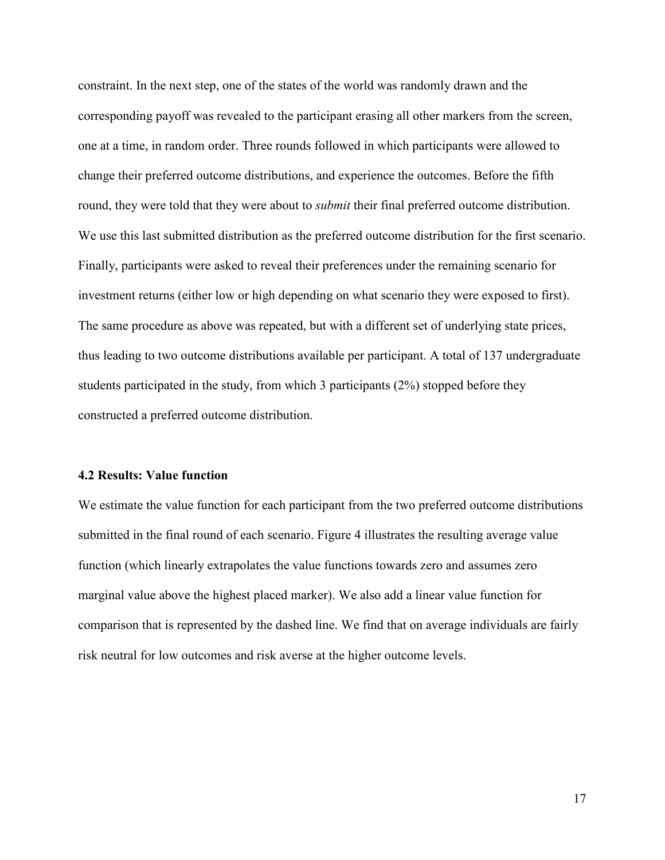constraint. In the next step, one of the states of the world was randomly drawn and the corresponding payoff was revealed to the participant erasing all other markers from the screen, one at a time, in random order. Three rounds followed in which participants were allowed to change their preferred outcome distributions, and experience the outcomes. Before the fifth round, they were told that they were about to *submit* their final preferred outcome distribution. We use this last submitted distribution as the preferred outcome distribution for the first scenario. Finally, participants were asked to reveal their preferences under the remaining scenario for investment returns (either low or high depending on what scenario they were exposed to first). The same procedure as above was repeated, but with a different set of underlying state prices, thus leading to two outcome distributions available per participant. A total of 137 undergraduate students participated in the study, from which 3 participants (2%) stopped before they constructed a preferred outcome distribution.

#### **4.2 Results: Value function**

We estimate the value function for each participant from the two preferred outcome distributions submitted in the final round of each scenario. Figure 4 illustrates the resulting average value function (which linearly extrapolates the value functions towards zero and assumes zero marginal value above the highest placed marker). We also add a linear value function for comparison that is represented by the dashed line. We find that on average individuals are fairly risk neutral for low outcomes and risk averse at the higher outcome levels.

17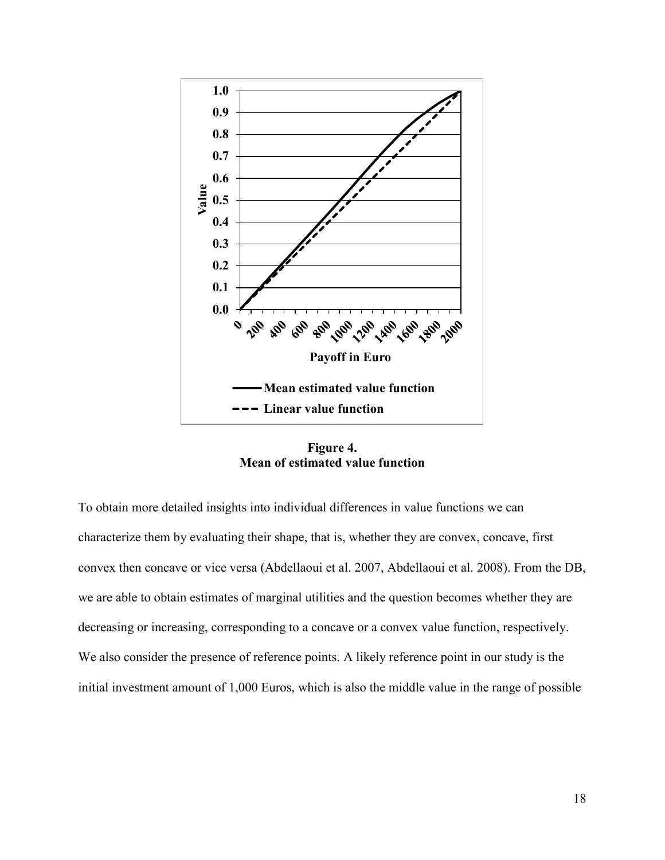

**Figure 4. Mean of estimated value function**

To obtain more detailed insights into individual differences in value functions we can characterize them by evaluating their shape, that is, whether they are convex, concave, first convex then concave or vice versa (Abdellaoui et al. 2007, Abdellaoui et al. 2008). From the DB, we are able to obtain estimates of marginal utilities and the question becomes whether they are decreasing or increasing, corresponding to a concave or a convex value function, respectively. We also consider the presence of reference points. A likely reference point in our study is the initial investment amount of 1,000 Euros, which is also the middle value in the range of possible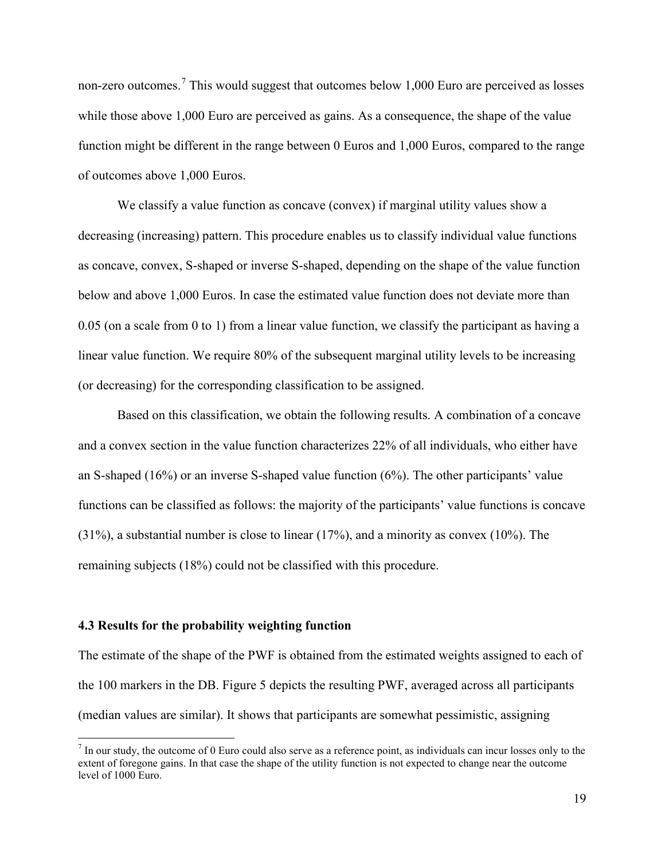non-zero outcomes.<sup>[7](#page-16-0)</sup> This would suggest that outcomes below 1,000 Euro are perceived as losses while those above 1,000 Euro are perceived as gains. As a consequence, the shape of the value function might be different in the range between 0 Euros and 1,000 Euros, compared to the range of outcomes above 1,000 Euros.

We classify a value function as concave (convex) if marginal utility values show a decreasing (increasing) pattern. This procedure enables us to classify individual value functions as concave, convex, S-shaped or inverse S-shaped, depending on the shape of the value function below and above 1,000 Euros. In case the estimated value function does not deviate more than 0.05 (on a scale from 0 to 1) from a linear value function, we classify the participant as having a linear value function. We require 80% of the subsequent marginal utility levels to be increasing (or decreasing) for the corresponding classification to be assigned.

Based on this classification, we obtain the following results. A combination of a concave and a convex section in the value function characterizes 22% of all individuals, who either have an S-shaped (16%) or an inverse S-shaped value function (6%). The other participants' value functions can be classified as follows: the majority of the participants' value functions is concave (31%), a substantial number is close to linear (17%), and a minority as convex (10%). The remaining subjects (18%) could not be classified with this procedure.

#### **4.3 Results for the probability weighting function**

The estimate of the shape of the PWF is obtained from the estimated weights assigned to each of the 100 markers in the DB. Figure 5 depicts the resulting PWF, averaged across all participants (median values are similar). It shows that participants are somewhat pessimistic, assigning

 $<sup>7</sup>$  In our study, the outcome of 0 Euro could also serve as a reference point, as individuals can incur losses only to the</sup> extent of foregone gains. In that case the shape of the utility function is not expected to change near the outcome level of 1000 Euro.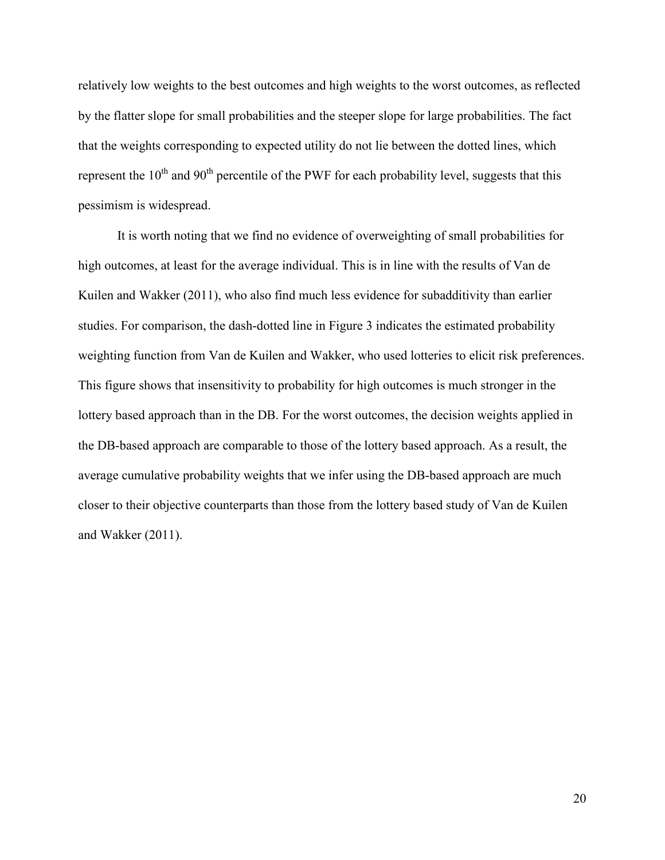relatively low weights to the best outcomes and high weights to the worst outcomes, as reflected by the flatter slope for small probabilities and the steeper slope for large probabilities. The fact that the weights corresponding to expected utility do not lie between the dotted lines, which represent the  $10<sup>th</sup>$  and  $90<sup>th</sup>$  percentile of the PWF for each probability level, suggests that this pessimism is widespread.

It is worth noting that we find no evidence of overweighting of small probabilities for high outcomes, at least for the average individual. This is in line with the results of Van de Kuilen and Wakker (2011), who also find much less evidence for subadditivity than earlier studies. For comparison, the dash-dotted line in Figure 3 indicates the estimated probability weighting function from Van de Kuilen and Wakker, who used lotteries to elicit risk preferences. This figure shows that insensitivity to probability for high outcomes is much stronger in the lottery based approach than in the DB. For the worst outcomes, the decision weights applied in the DB-based approach are comparable to those of the lottery based approach. As a result, the average cumulative probability weights that we infer using the DB-based approach are much closer to their objective counterparts than those from the lottery based study of Van de Kuilen and Wakker (2011).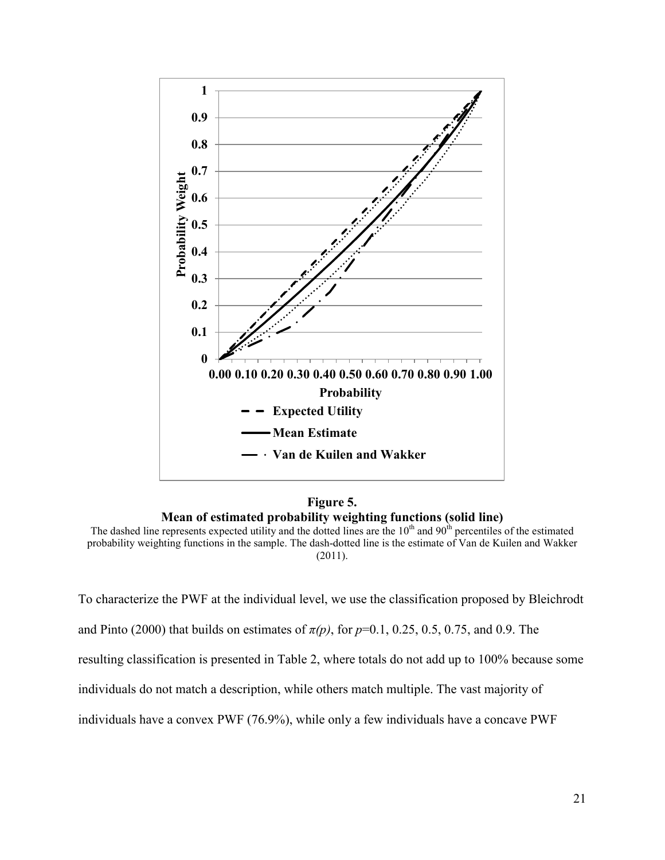

**Figure 5. Mean of estimated probability weighting functions (solid line)**  The dashed line represents expected utility and the dotted lines are the  $10<sup>th</sup>$  and  $90<sup>th</sup>$  percentiles of the estimated probability weighting functions in the sample. The dash-dotted line is the estimate of Van de Kuilen and Wakker (2011).

To characterize the PWF at the individual level, we use the classification proposed by Bleichrodt and Pinto (2000) that builds on estimates of  $\pi(p)$ , for  $p=0.1$ , 0.25, 0.5, 0.75, and 0.9. The resulting classification is presented in Table 2, where totals do not add up to 100% because some individuals do not match a description, while others match multiple. The vast majority of individuals have a convex PWF (76.9%), while only a few individuals have a concave PWF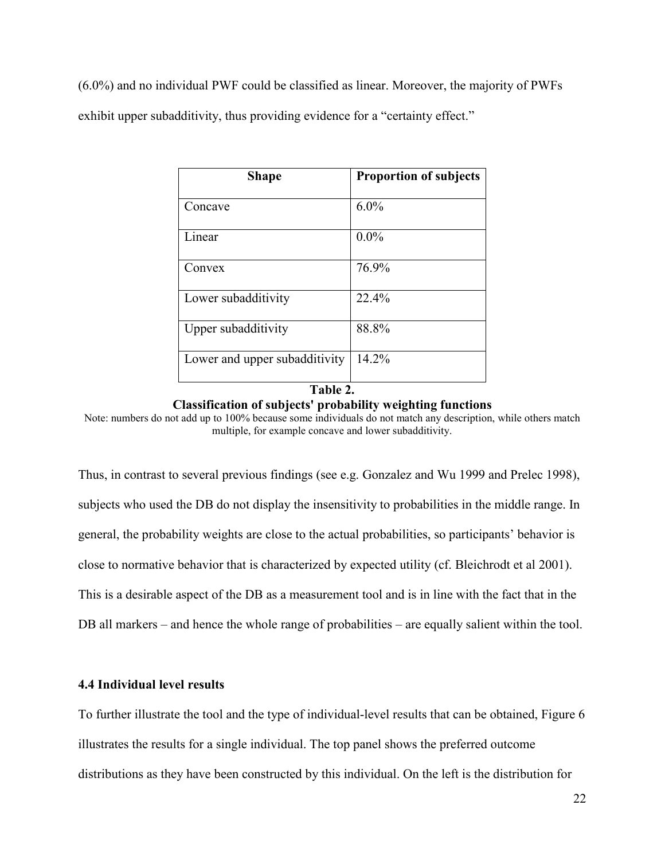(6.0%) and no individual PWF could be classified as linear. Moreover, the majority of PWFs exhibit upper subadditivity, thus providing evidence for a "certainty effect."

| <b>Shape</b>                  | <b>Proportion of subjects</b> |  |
|-------------------------------|-------------------------------|--|
| Concave                       | $6.0\%$                       |  |
| Linear                        | $0.0\%$                       |  |
| Convex                        | 76.9%                         |  |
| Lower subadditivity           | 22.4%                         |  |
| Upper subadditivity           | 88.8%                         |  |
| Lower and upper subadditivity | 14.2%                         |  |
| <b>Table 2.</b>               |                               |  |

# **Classification of subjects' probability weighting functions**

Note: numbers do not add up to 100% because some individuals do not match any description, while others match multiple, for example concave and lower subadditivity.

Thus, in contrast to several previous findings (see e.g. Gonzalez and Wu 1999 and Prelec 1998), subjects who used the DB do not display the insensitivity to probabilities in the middle range. In general, the probability weights are close to the actual probabilities, so participants' behavior is close to normative behavior that is characterized by expected utility (cf. Bleichrodt et al 2001). This is a desirable aspect of the DB as a measurement tool and is in line with the fact that in the DB all markers – and hence the whole range of probabilities – are equally salient within the tool.

# **4.4 Individual level results**

To further illustrate the tool and the type of individual-level results that can be obtained, Figure 6 illustrates the results for a single individual. The top panel shows the preferred outcome distributions as they have been constructed by this individual. On the left is the distribution for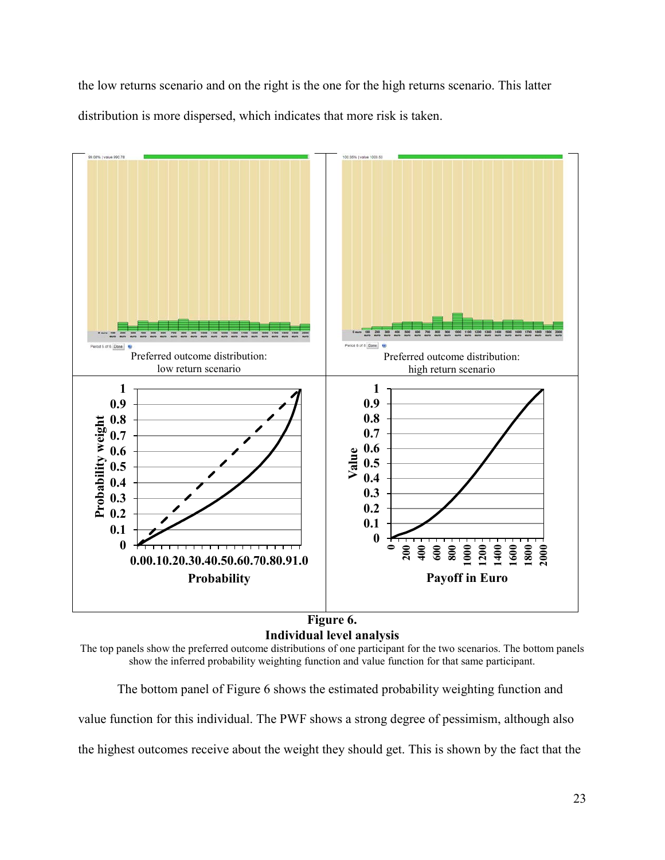the low returns scenario and on the right is the one for the high returns scenario. This latter distribution is more dispersed, which indicates that more risk is taken.



# **Figure 6. Individual level analysis**

The top panels show the preferred outcome distributions of one participant for the two scenarios. The bottom panels show the inferred probability weighting function and value function for that same participant.

The bottom panel of Figure 6 shows the estimated probability weighting function and value function for this individual. The PWF shows a strong degree of pessimism, although also the highest outcomes receive about the weight they should get. This is shown by the fact that the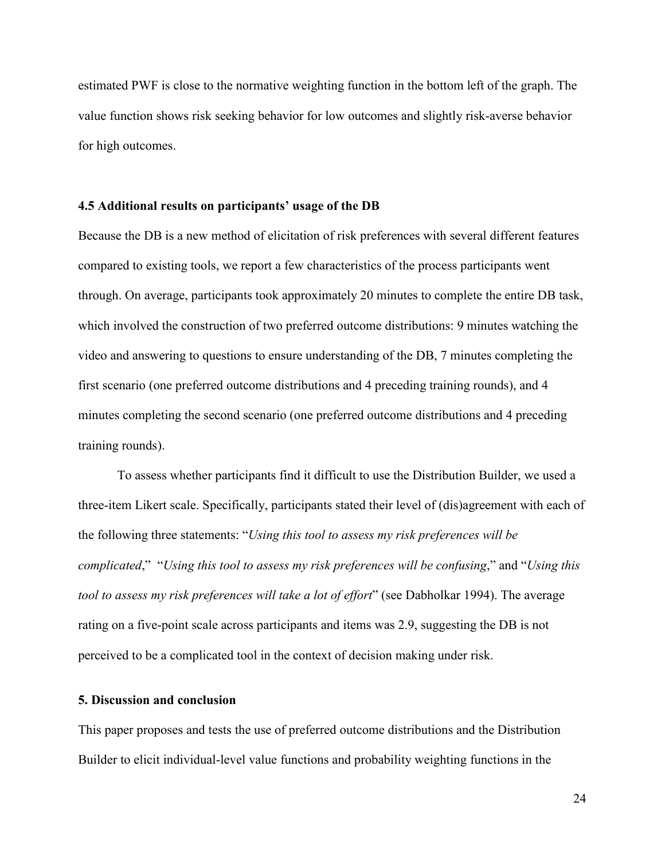estimated PWF is close to the normative weighting function in the bottom left of the graph. The value function shows risk seeking behavior for low outcomes and slightly risk-averse behavior for high outcomes.

## **4.5 Additional results on participants' usage of the DB**

Because the DB is a new method of elicitation of risk preferences with several different features compared to existing tools, we report a few characteristics of the process participants went through. On average, participants took approximately 20 minutes to complete the entire DB task, which involved the construction of two preferred outcome distributions: 9 minutes watching the video and answering to questions to ensure understanding of the DB, 7 minutes completing the first scenario (one preferred outcome distributions and 4 preceding training rounds), and 4 minutes completing the second scenario (one preferred outcome distributions and 4 preceding training rounds).

To assess whether participants find it difficult to use the Distribution Builder, we used a three-item Likert scale. Specifically, participants stated their level of (dis)agreement with each of the following three statements: "*Using this tool to assess my risk preferences will be complicated*," "*Using this tool to assess my risk preferences will be confusing*," and "*Using this tool to assess my risk preferences will take a lot of effort*" (see Dabholkar 1994). The average rating on a five-point scale across participants and items was 2.9, suggesting the DB is not perceived to be a complicated tool in the context of decision making under risk.

## **5. Discussion and conclusion**

This paper proposes and tests the use of preferred outcome distributions and the Distribution Builder to elicit individual-level value functions and probability weighting functions in the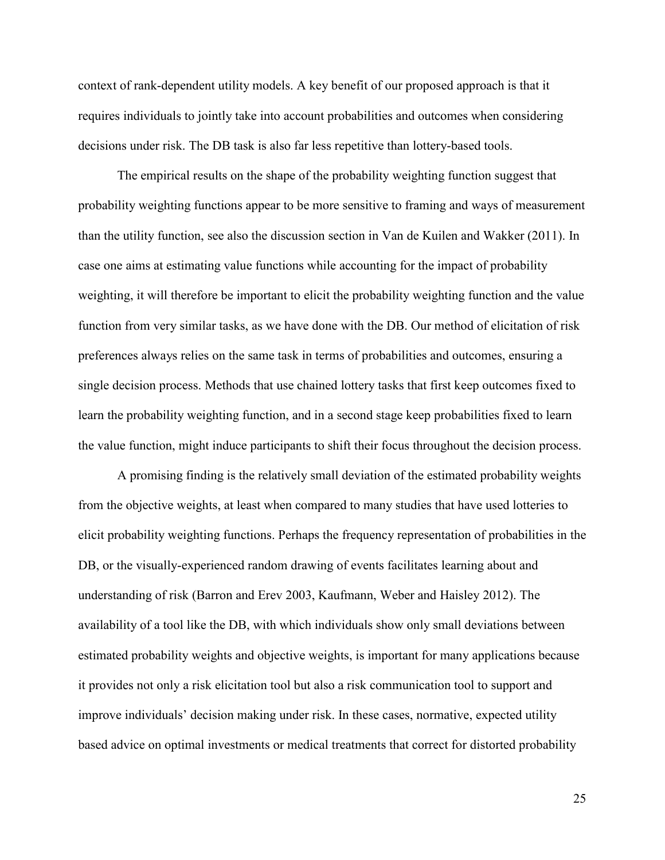context of rank-dependent utility models. A key benefit of our proposed approach is that it requires individuals to jointly take into account probabilities and outcomes when considering decisions under risk. The DB task is also far less repetitive than lottery-based tools.

The empirical results on the shape of the probability weighting function suggest that probability weighting functions appear to be more sensitive to framing and ways of measurement than the utility function, see also the discussion section in Van de Kuilen and Wakker (2011). In case one aims at estimating value functions while accounting for the impact of probability weighting, it will therefore be important to elicit the probability weighting function and the value function from very similar tasks, as we have done with the DB. Our method of elicitation of risk preferences always relies on the same task in terms of probabilities and outcomes, ensuring a single decision process. Methods that use chained lottery tasks that first keep outcomes fixed to learn the probability weighting function, and in a second stage keep probabilities fixed to learn the value function, might induce participants to shift their focus throughout the decision process.

A promising finding is the relatively small deviation of the estimated probability weights from the objective weights, at least when compared to many studies that have used lotteries to elicit probability weighting functions. Perhaps the frequency representation of probabilities in the DB, or the visually-experienced random drawing of events facilitates learning about and understanding of risk (Barron and Erev 2003, Kaufmann, Weber and Haisley 2012). The availability of a tool like the DB, with which individuals show only small deviations between estimated probability weights and objective weights, is important for many applications because it provides not only a risk elicitation tool but also a risk communication tool to support and improve individuals' decision making under risk. In these cases, normative, expected utility based advice on optimal investments or medical treatments that correct for distorted probability

25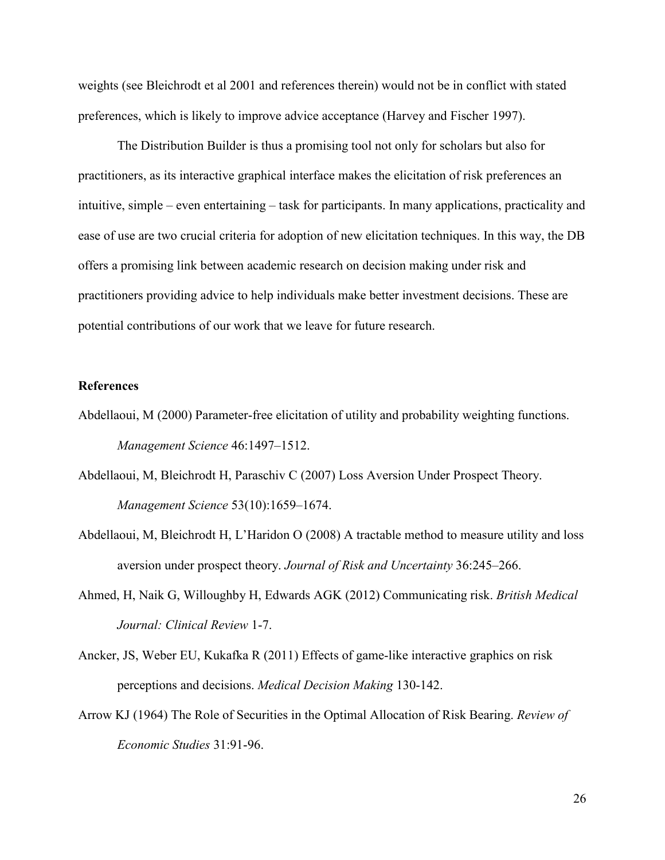weights (see Bleichrodt et al 2001 and references therein) would not be in conflict with stated preferences, which is likely to improve advice acceptance (Harvey and Fischer 1997).

The Distribution Builder is thus a promising tool not only for scholars but also for practitioners, as its interactive graphical interface makes the elicitation of risk preferences an intuitive, simple – even entertaining – task for participants. In many applications, practicality and ease of use are two crucial criteria for adoption of new elicitation techniques. In this way, the DB offers a promising link between academic research on decision making under risk and practitioners providing advice to help individuals make better investment decisions. These are potential contributions of our work that we leave for future research.

## **References**

- Abdellaoui, M (2000) Parameter-free elicitation of utility and probability weighting functions. *Management Science* 46:1497–1512.
- Abdellaoui, M, Bleichrodt H, Paraschiv C (2007) Loss Aversion Under Prospect Theory. *Management Science* 53(10):1659–1674.
- Abdellaoui, M, Bleichrodt H, L'Haridon O (2008) A tractable method to measure utility and loss aversion under prospect theory. *Journal of Risk and Uncertainty* 36:245–266.
- Ahmed, H, Naik G, Willoughby H, Edwards AGK (2012) Communicating risk. *British Medical Journal: Clinical Review* 1-7.
- Ancker, JS, Weber EU, Kukafka R (2011) Effects of game-like interactive graphics on risk perceptions and decisions. *Medical Decision Making* 130-142.
- Arrow KJ (1964) The Role of Securities in the Optimal Allocation of Risk Bearing. *Review of Economic Studies* 31:91-96.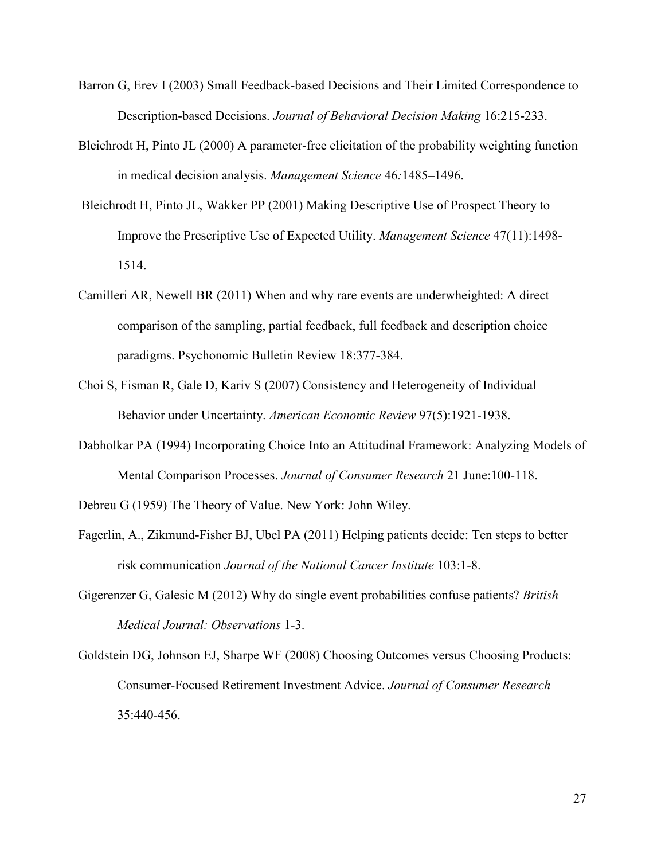- Barron G, Erev I (2003) Small Feedback-based Decisions and Their Limited Correspondence to Description-based Decisions. *Journal of Behavioral Decision Making* 16:215-233.
- Bleichrodt H, Pinto JL (2000) A parameter-free elicitation of the probability weighting function in medical decision analysis. *Management Science* 46*:*1485–1496.
- Bleichrodt H, Pinto JL, Wakker PP (2001) Making Descriptive Use of Prospect Theory to Improve the Prescriptive Use of Expected Utility. *Management Science* 47(11):1498- 1514.
- Camilleri AR, Newell BR (2011) When and why rare events are underwheighted: A direct comparison of the sampling, partial feedback, full feedback and description choice paradigms. Psychonomic Bulletin Review 18:377-384.
- Choi S, Fisman R, Gale D, Kariv S (2007) Consistency and Heterogeneity of Individual Behavior under Uncertainty. *American Economic Review* 97(5):1921-1938.
- Dabholkar PA (1994) Incorporating Choice Into an Attitudinal Framework: Analyzing Models of Mental Comparison Processes. *Journal of Consumer Research* 21 June:100-118.
- Debreu G (1959) The Theory of Value. New York: John Wiley.
- Fagerlin, A., Zikmund-Fisher BJ, Ubel PA (2011) Helping patients decide: Ten steps to better risk communication *Journal of the National Cancer Institute* 103:1-8.
- Gigerenzer G, Galesic M (2012) Why do single event probabilities confuse patients? *British Medical Journal: Observations* 1-3.
- Goldstein DG, Johnson EJ, Sharpe WF (2008) Choosing Outcomes versus Choosing Products: Consumer-Focused Retirement Investment Advice. *Journal of Consumer Research* 35:440-456.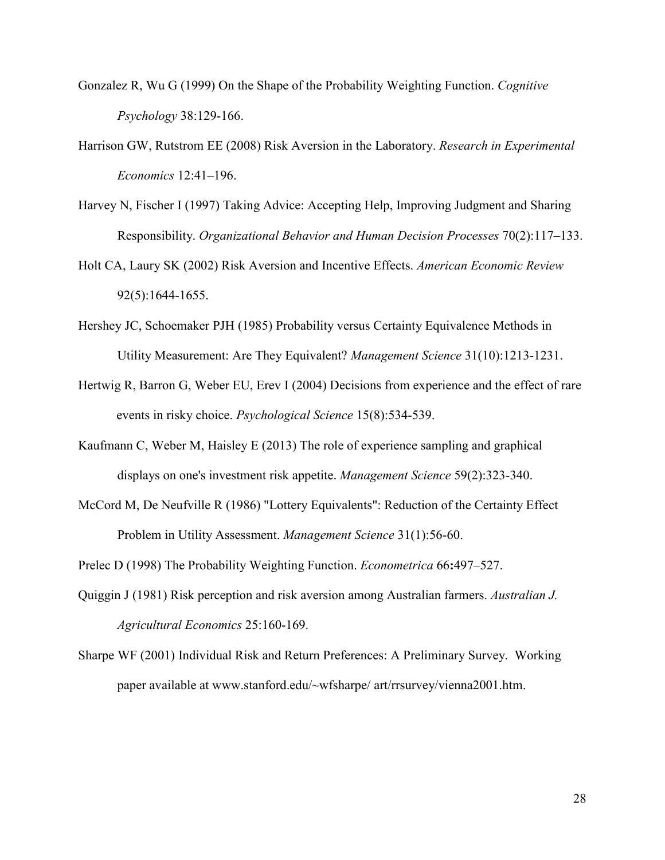- Gonzalez R, Wu G (1999) On the Shape of the Probability Weighting Function. *Cognitive Psychology* 38:129-166.
- Harrison GW, Rutstrom EE (2008) Risk Aversion in the Laboratory. *Research in Experimental Economics* 12:41–196.
- Harvey N, Fischer I (1997) Taking Advice: Accepting Help, Improving Judgment and Sharing Responsibility. *Organizational Behavior and Human Decision Processes* 70(2):117–133.
- Holt CA, Laury SK (2002) Risk Aversion and Incentive Effects. *American Economic Review* 92(5):1644-1655.
- Hershey JC, Schoemaker PJH (1985) Probability versus Certainty Equivalence Methods in Utility Measurement: Are They Equivalent? *Management Science* 31(10):1213-1231.
- Hertwig R, Barron G, Weber EU, Erev I (2004) Decisions from experience and the effect of rare events in risky choice. *Psychological Science* 15(8):534-539.
- Kaufmann C, Weber M, Haisley E (2013) The role of experience sampling and graphical displays on one's investment risk appetite. *Management Science* 59(2):323-340.
- McCord M, De Neufville R (1986) "Lottery Equivalents": Reduction of the Certainty Effect Problem in Utility Assessment. *Management Science* 31(1):56-60.

Prelec D (1998) The Probability Weighting Function. *Econometrica* 66**:**497–527.

- Quiggin J (1981) Risk perception and risk aversion among Australian farmers. *Australian J. Agricultural Economics* 25:160-169.
- Sharpe WF (2001) Individual Risk and Return Preferences: A Preliminary Survey. Working paper available at www.stanford.edu/~wfsharpe/ art/rrsurvey/vienna2001.htm.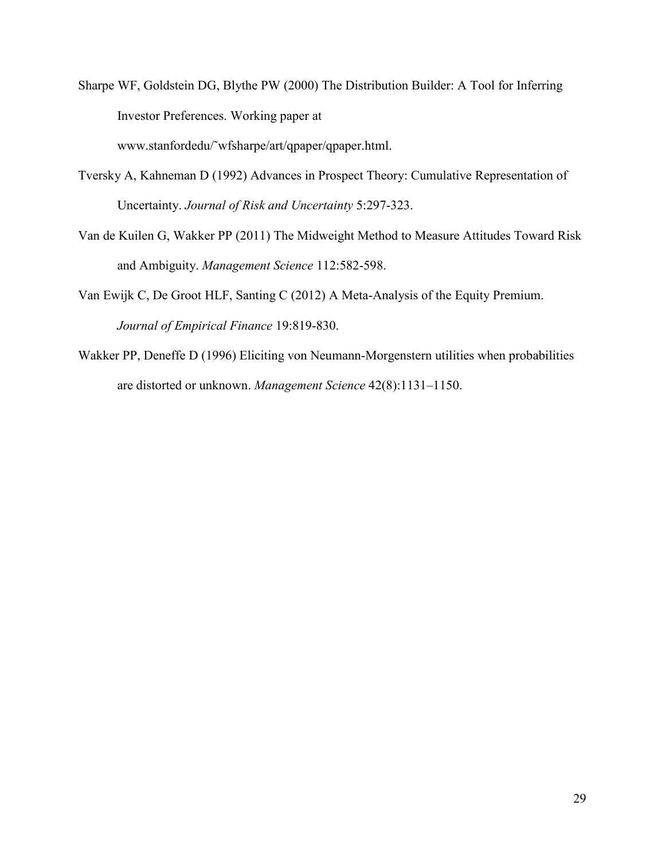- Sharpe WF, Goldstein DG, Blythe PW (2000) The Distribution Builder: A Tool for Inferring Investor Preferences. Working paper at www.stanfordedu/˜wfsharpe/art/qpaper/qpaper.html.
- Tversky A, Kahneman D (1992) Advances in Prospect Theory: Cumulative Representation of Uncertainty. *Journal of Risk and Uncertainty* 5:297-323.
- Van de Kuilen G, Wakker PP (2011) The Midweight Method to Measure Attitudes Toward Risk and Ambiguity. *Management Science* 112:582-598.
- Van Ewijk C, De Groot HLF, Santing C (2012) A Meta-Analysis of the Equity Premium. *Journal of Empirical Finance* 19:819-830.
- Wakker PP, Deneffe D (1996) Eliciting von Neumann-Morgenstern utilities when probabilities are distorted or unknown. *Management Science* 42(8):1131–1150.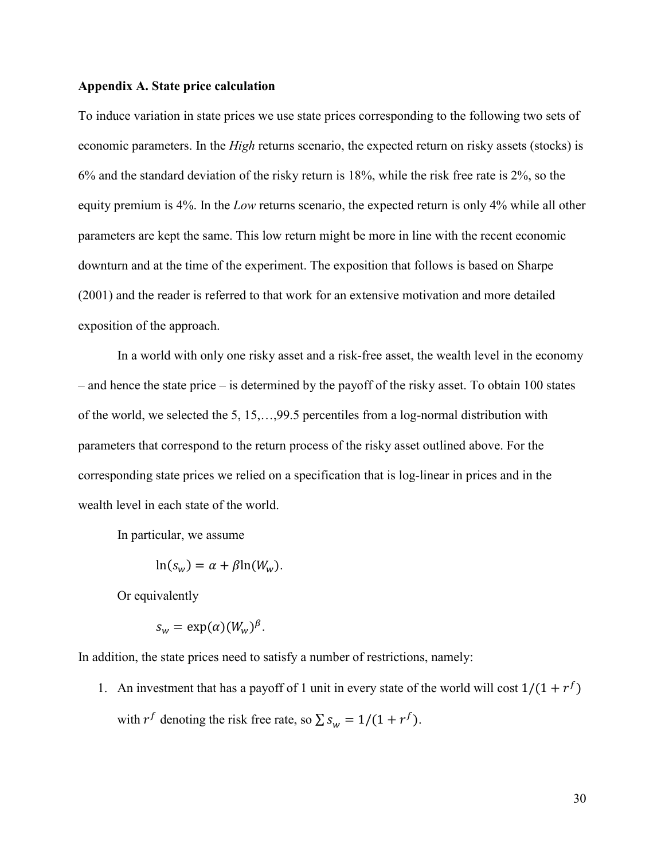# **Appendix A. State price calculation**

To induce variation in state prices we use state prices corresponding to the following two sets of economic parameters. In the *High* returns scenario, the expected return on risky assets (stocks) is 6% and the standard deviation of the risky return is 18%, while the risk free rate is 2%, so the equity premium is 4%. In the *Low* returns scenario, the expected return is only 4% while all other parameters are kept the same. This low return might be more in line with the recent economic downturn and at the time of the experiment. The exposition that follows is based on Sharpe (2001) and the reader is referred to that work for an extensive motivation and more detailed exposition of the approach.

In a world with only one risky asset and a risk-free asset, the wealth level in the economy – and hence the state price – is determined by the payoff of the risky asset. To obtain 100 states of the world, we selected the 5, 15,…,99.5 percentiles from a log-normal distribution with parameters that correspond to the return process of the risky asset outlined above. For the corresponding state prices we relied on a specification that is log-linear in prices and in the wealth level in each state of the world.

In particular, we assume

$$
\ln(s_w) = \alpha + \beta \ln(W_w).
$$

Or equivalently

$$
s_w = \exp(\alpha)(W_w)^{\beta}.
$$

In addition, the state prices need to satisfy a number of restrictions, namely:

1. An investment that has a payoff of 1 unit in every state of the world will cost  $1/(1 + r^f)$ with  $r^f$  denoting the risk free rate, so  $\sum s_w = 1/(1 + r^f)$ .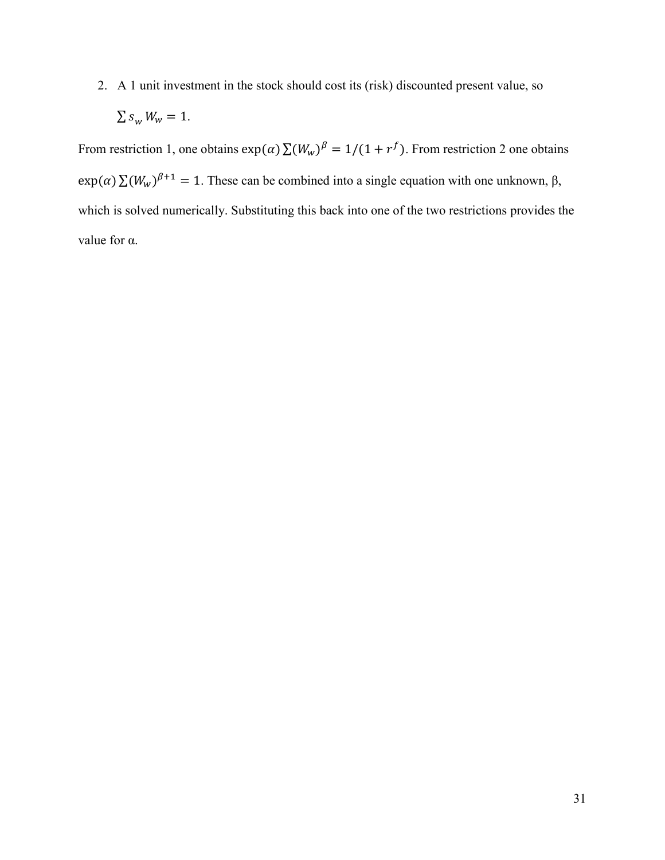# 2. A 1 unit investment in the stock should cost its (risk) discounted present value, so

$$
\sum s_w W_w = 1.
$$

From restriction 1, one obtains  $\exp(\alpha) \sum (W_w)^{\beta} = 1/(1 + r^f)$ . From restriction 2 one obtains  $\exp(\alpha) \sum (W_w)^{\beta+1} = 1$ . These can be combined into a single equation with one unknown,  $\beta$ , which is solved numerically. Substituting this back into one of the two restrictions provides the value for  $\alpha$ .